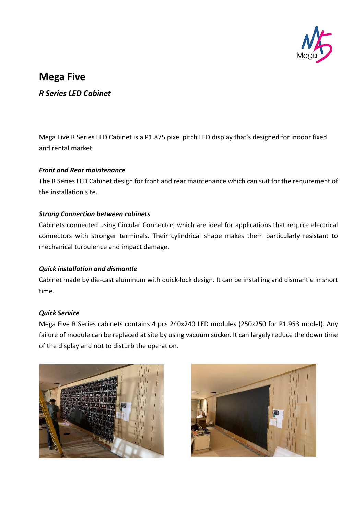

# **Mega Five**

*R Series LED Cabinet*

Mega Five R Series LED Cabinet is a P1.875 pixel pitch LED display that's designed for indoor fixed and rental market.

### *Front and Rear maintenance*

The R Series LED Cabinet design for front and rear maintenance which can suit for the requirement of the installation site.

## *Strong Connection between cabinets*

Cabinets connected using Circular Connector, which are ideal for applications that require electrical connectors with stronger terminals. Their cylindrical shape makes them particularly resistant to mechanical turbulence and impact damage.

# *Quick installation and dismantle*

Cabinet made by die-cast aluminum with quick-lock design. It can be installing and dismantle in short time.

### *Quick Service*

Mega Five R Series cabinets contains 4 pcs 240x240 LED modules (250x250 for P1.953 model). Any failure of module can be replaced at site by using vacuum sucker. It can largely reduce the down time of the display and not to disturb the operation.